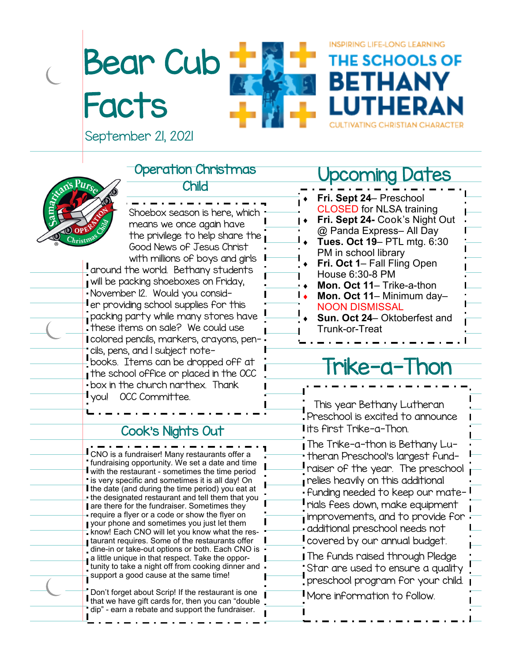# Bear Cub **Facts**



INSPIRING LIFE-LONG LEARNING

**JE SCHOOLS OF** 

September 21, 2021

#### Operation Christmas



#### Child

Shoebox season is here, which means we once again have the privilege to help share the Good News of Jesus Christ with millions of boys and girls I around the world. Bethany students will be packing shoeboxes on Friday, November 12. Would you consider providing school supplies for this packing party while many stores have these items on sale? We could use colored pencils, markers, crayons, pencils, pens, and 1 subject notebooks. Items can be dropped off at the school office or placed in the OCC box in the church narthex. Thank you! OCC Committee.

#### Cook's Nights Out

CNO is a fundraiser! Many restaurants offer a fundraising opportunity. We set a date and time with the restaurant - sometimes the time period is very specific and sometimes it is all day! On I the date (and during the time period) you eat at the designated restaurant and tell them that you **are there for the fundraiser. Sometimes they** require a flyer or a code or show the flyer on your phone and sometimes you just let them know! Each CNO will let you know what the restaurant requires. Some of the restaurants offer dine-in or take-out options or both. Each CNO is a little unique in that respect. Take the opportunity to take a night off from cooking dinner and  $\frac{1}{\sqrt{2}}$  support a good cause at the same time!

Don't forget about Scrip! If the restaurant is one I that we have gift cards for, then you can "double dip" - earn a rebate and support the fundraiser.

### Upcoming Dates

| Fri. Sept 24- Preschool             |  |
|-------------------------------------|--|
| <b>CLOSED for NLSA training</b>     |  |
| Fri. Sept 24- Cook's Night Out      |  |
| @ Panda Express- All Day            |  |
| Tues. Oct 19- PTL mtg. 6:30         |  |
| PM in school library                |  |
| Fri. Oct 1– Fall Fling Open         |  |
| House 6:30-8 PM                     |  |
| Mon. Oct 11– Trike-a-thon           |  |
| Mon. Oct 11- Minimum day-           |  |
| <b>NOON DISMISSAL</b>               |  |
| <b>Sun. Oct 24– Oktoberfest and</b> |  |
| Trunk-or-Treat                      |  |
|                                     |  |

## $i$ Ke-d-

 This year Bethany Lutheran Preschool is excited to announce its first Trike-a-Thon. The Trike-a-thon is Bethany Lutheran Preschool's largest fundraiser of the year. The preschool relies heavily on this additional funding needed to keep our materials fees down, make equipment improvements, and to provide for additional preschool needs not covered by our annual budget. **The funds raised through Pledge** Star are used to ensure a quality preschool program for your child. More information to follow.